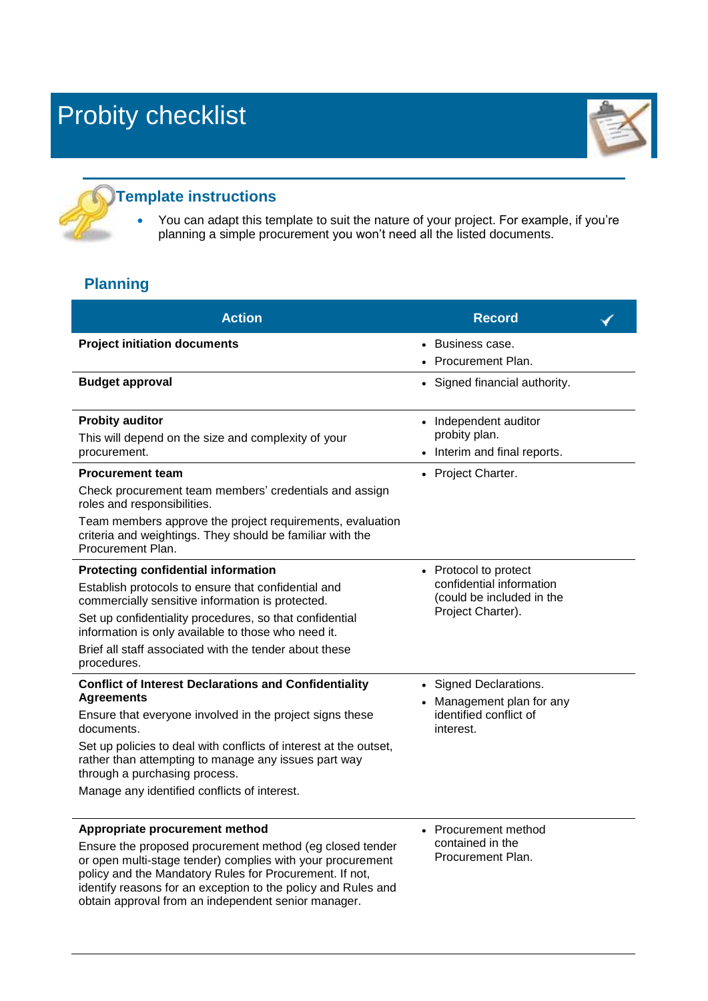

#### **Template instructions**

obtain approval from an independent senior manager.

 You can adapt this template to suit the nature of your project. For example, if you're planning a simple procurement you won't need all the listed documents.

#### **Planning**

| <b>Action</b>                                                                                                                                                                                                                                                                                                                                                             | <b>Record</b>                                                                                       |  |
|---------------------------------------------------------------------------------------------------------------------------------------------------------------------------------------------------------------------------------------------------------------------------------------------------------------------------------------------------------------------------|-----------------------------------------------------------------------------------------------------|--|
| <b>Project initiation documents</b>                                                                                                                                                                                                                                                                                                                                       | • Business case.<br><b>Procurement Plan.</b>                                                        |  |
| <b>Budget approval</b>                                                                                                                                                                                                                                                                                                                                                    | • Signed financial authority.                                                                       |  |
| <b>Probity auditor</b><br>This will depend on the size and complexity of your<br>procurement.<br><b>Procurement team</b><br>Check procurement team members' credentials and assign<br>roles and responsibilities.<br>Team members approve the project requirements, evaluation                                                                                            | • Independent auditor<br>probity plan.<br>• Interim and final reports.<br>• Project Charter.        |  |
| criteria and weightings. They should be familiar with the<br>Procurement Plan.                                                                                                                                                                                                                                                                                            |                                                                                                     |  |
| <b>Protecting confidential information</b><br>Establish protocols to ensure that confidential and<br>commercially sensitive information is protected.<br>Set up confidentiality procedures, so that confidential<br>information is only available to those who need it.<br>Brief all staff associated with the tender about these<br>procedures.                          | • Protocol to protect<br>confidential information<br>(could be included in the<br>Project Charter). |  |
| <b>Conflict of Interest Declarations and Confidentiality</b><br><b>Agreements</b><br>Ensure that everyone involved in the project signs these<br>documents.<br>Set up policies to deal with conflicts of interest at the outset,<br>rather than attempting to manage any issues part way<br>through a purchasing process.<br>Manage any identified conflicts of interest. | • Signed Declarations.<br>• Management plan for any<br>identified conflict of<br>interest.          |  |
| Appropriate procurement method<br>Ensure the proposed procurement method (eg closed tender<br>or open multi-stage tender) complies with your procurement<br>policy and the Mandatory Rules for Procurement. If not,<br>identify reasons for an exception to the policy and Rules and                                                                                      | • Procurement method<br>contained in the<br>Procurement Plan.                                       |  |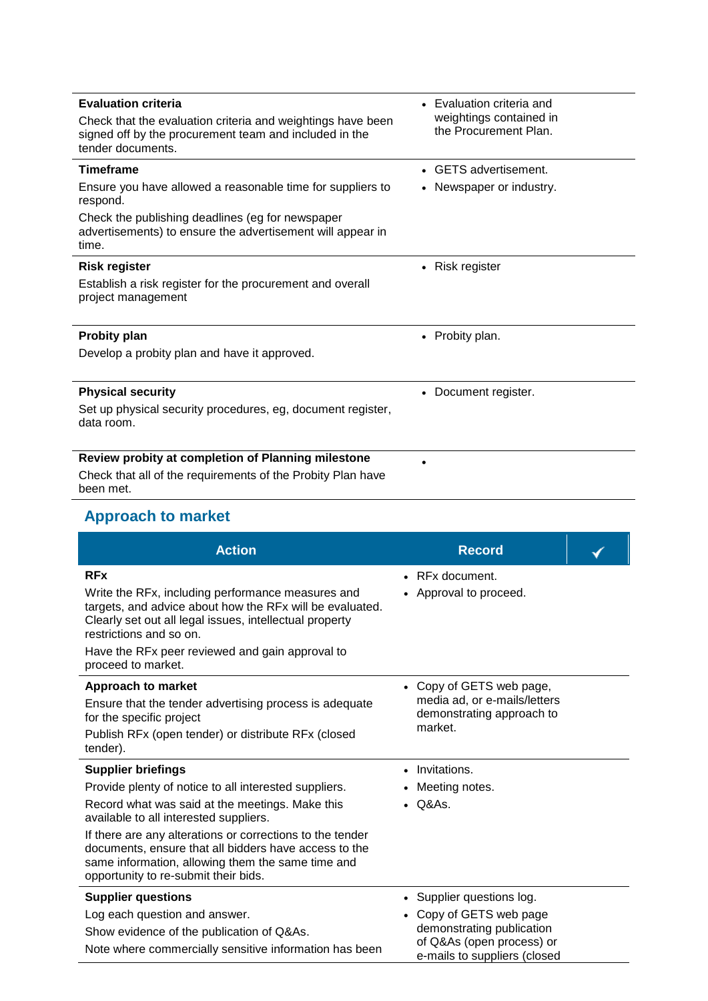| <b>Evaluation criteria</b><br>Check that the evaluation criteria and weightings have been<br>signed off by the procurement team and included in the<br>tender documents. | • Evaluation criteria and<br>weightings contained in<br>the Procurement Plan. |
|--------------------------------------------------------------------------------------------------------------------------------------------------------------------------|-------------------------------------------------------------------------------|
| <b>Timeframe</b>                                                                                                                                                         | • GETS advertisement.                                                         |
| Ensure you have allowed a reasonable time for suppliers to<br>respond.                                                                                                   | Newspaper or industry.                                                        |
| Check the publishing deadlines (eg for newspaper<br>advertisements) to ensure the advertisement will appear in<br>time.                                                  |                                                                               |
| <b>Risk register</b>                                                                                                                                                     | • Risk register                                                               |
| Establish a risk register for the procurement and overall<br>project management                                                                                          |                                                                               |
| <b>Probity plan</b>                                                                                                                                                      | • Probity plan.                                                               |
| Develop a probity plan and have it approved.                                                                                                                             |                                                                               |
| <b>Physical security</b>                                                                                                                                                 | • Document register.                                                          |
| Set up physical security procedures, eg, document register,<br>data room.                                                                                                |                                                                               |
| Review probity at completion of Planning milestone                                                                                                                       |                                                                               |
| Check that all of the requirements of the Probity Plan have                                                                                                              |                                                                               |

been met.

# **Approach to market**

| <b>Action</b>                                                                                                                                                                                                                                                                                                                                                                                      | <b>Record</b>                                                                                                                                  |  |
|----------------------------------------------------------------------------------------------------------------------------------------------------------------------------------------------------------------------------------------------------------------------------------------------------------------------------------------------------------------------------------------------------|------------------------------------------------------------------------------------------------------------------------------------------------|--|
| <b>RFx</b><br>Write the RFx, including performance measures and<br>targets, and advice about how the RFx will be evaluated.<br>Clearly set out all legal issues, intellectual property<br>restrictions and so on.<br>Have the RFx peer reviewed and gain approval to<br>proceed to market.                                                                                                         | $\bullet$ RFx document.<br>• Approval to proceed.                                                                                              |  |
| <b>Approach to market</b><br>Ensure that the tender advertising process is adequate<br>for the specific project<br>Publish RFx (open tender) or distribute RFx (closed<br>tender).                                                                                                                                                                                                                 | • Copy of GETS web page,<br>media ad, or e-mails/letters<br>demonstrating approach to<br>market.                                               |  |
| <b>Supplier briefings</b><br>Provide plenty of notice to all interested suppliers.<br>Record what was said at the meetings. Make this<br>available to all interested suppliers.<br>If there are any alterations or corrections to the tender<br>documents, ensure that all bidders have access to the<br>same information, allowing them the same time and<br>opportunity to re-submit their bids. | • Invitations.<br>Meeting notes.<br>$\bullet$ Q&As.                                                                                            |  |
| <b>Supplier questions</b><br>Log each question and answer.<br>Show evidence of the publication of Q&As.<br>Note where commercially sensitive information has been                                                                                                                                                                                                                                  | • Supplier questions log.<br>• Copy of GETS web page<br>demonstrating publication<br>of Q&As (open process) or<br>e-mails to suppliers (closed |  |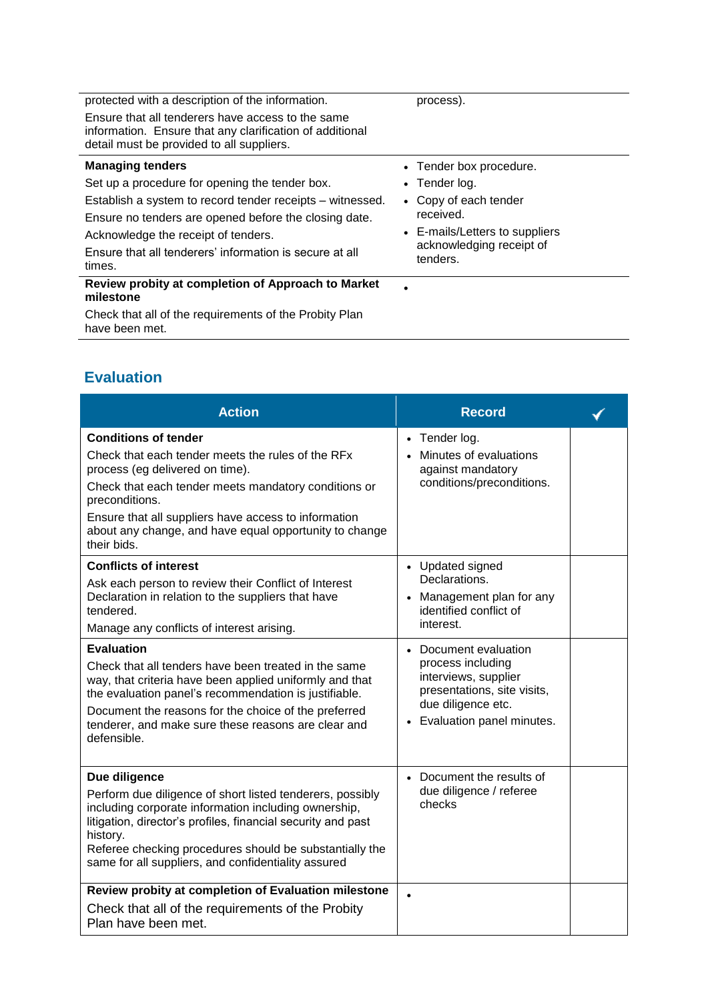| protected with a description of the information.                                                                                                           | process).                            |
|------------------------------------------------------------------------------------------------------------------------------------------------------------|--------------------------------------|
| Ensure that all tenderers have access to the same<br>information. Ensure that any clarification of additional<br>detail must be provided to all suppliers. |                                      |
| <b>Managing tenders</b>                                                                                                                                    | • Tender box procedure.              |
| Set up a procedure for opening the tender box.                                                                                                             | $\bullet$ Tender log.                |
| Establish a system to record tender receipts – witnessed.                                                                                                  | • Copy of each tender                |
| Ensure no tenders are opened before the closing date.                                                                                                      | received.                            |
| Acknowledge the receipt of tenders.                                                                                                                        | • E-mails/Letters to suppliers       |
| Ensure that all tenderers' information is secure at all<br>times.                                                                                          | acknowledging receipt of<br>tenders. |
| Review probity at completion of Approach to Market<br>milestone                                                                                            | ٠                                    |
| Check that all of the requirements of the Probity Plan<br>have been met.                                                                                   |                                      |

### **Evaluation**

| <b>Action</b>                                                                                                                                                                                                                                                                                                                    | <b>Record</b>                                                                                                                                          |  |
|----------------------------------------------------------------------------------------------------------------------------------------------------------------------------------------------------------------------------------------------------------------------------------------------------------------------------------|--------------------------------------------------------------------------------------------------------------------------------------------------------|--|
| <b>Conditions of tender</b><br>Check that each tender meets the rules of the RFx<br>process (eg delivered on time).<br>Check that each tender meets mandatory conditions or<br>preconditions.<br>Ensure that all suppliers have access to information<br>about any change, and have equal opportunity to change<br>their bids.   | • Tender log.<br>Minutes of evaluations<br>against mandatory<br>conditions/preconditions.                                                              |  |
| <b>Conflicts of interest</b><br>Ask each person to review their Conflict of Interest<br>Declaration in relation to the suppliers that have<br>tendered.<br>Manage any conflicts of interest arising.                                                                                                                             | • Updated signed<br>Declarations.<br>Management plan for any<br>$\bullet$<br>identified conflict of<br>interest.                                       |  |
| <b>Evaluation</b><br>Check that all tenders have been treated in the same<br>way, that criteria have been applied uniformly and that<br>the evaluation panel's recommendation is justifiable.<br>Document the reasons for the choice of the preferred<br>tenderer, and make sure these reasons are clear and<br>defensible.      | • Document evaluation<br>process including<br>interviews, supplier<br>presentations, site visits,<br>due diligence etc.<br>• Evaluation panel minutes. |  |
| Due diligence<br>Perform due diligence of short listed tenderers, possibly<br>including corporate information including ownership,<br>litigation, director's profiles, financial security and past<br>history.<br>Referee checking procedures should be substantially the<br>same for all suppliers, and confidentiality assured | • Document the results of<br>due diligence / referee<br>checks                                                                                         |  |
| Review probity at completion of Evaluation milestone<br>Check that all of the requirements of the Probity<br>Plan have been met.                                                                                                                                                                                                 |                                                                                                                                                        |  |